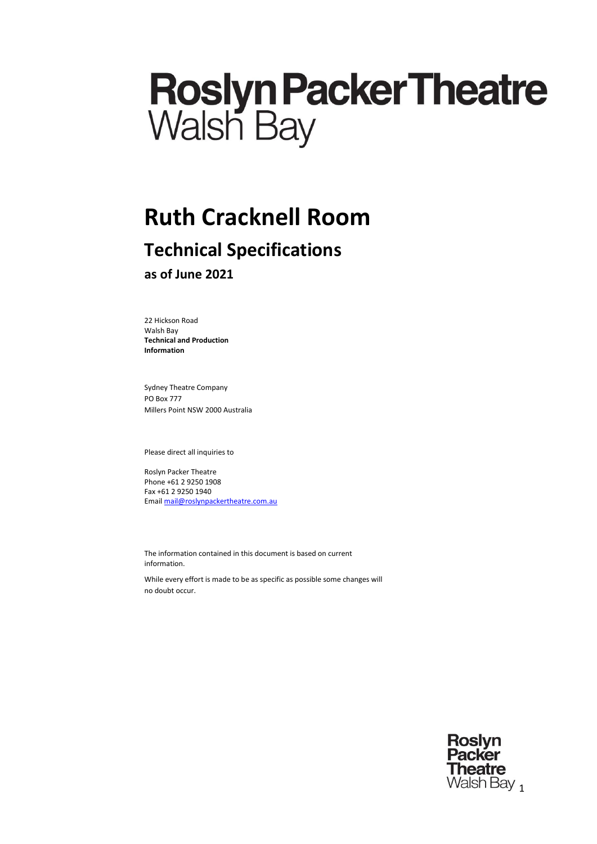# **Roslyn Packer Theatre**<br>Walsh Bay

# **Ruth Cracknell Room**

# **Technical Specifications**

**as of June 2021**

22 Hickson Road Walsh Bay **Technical and Production Information**

Sydney Theatre Company PO Box 777 Millers Point NSW 2000 Australia

Please direct all inquiries to

Roslyn Packer Theatre Phone +61 2 9250 1908 Fax +61 2 9250 1940 Emai[l mail@roslynpackertheatre.com.au](mailto:mail@roslynpackertheatre.com.au)

The information contained in this document is based on current information.

While every effort is made to be as specific as possible some changes will no doubt occur.

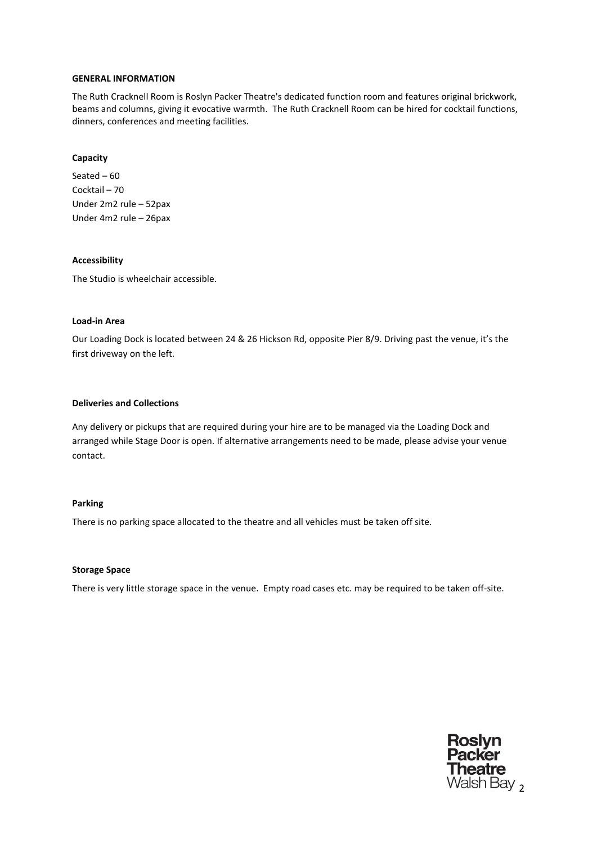#### **GENERAL INFORMATION**

The Ruth Cracknell Room is Roslyn Packer Theatre's dedicated function room and features original brickwork, beams and columns, giving it evocative warmth. The Ruth Cracknell Room can be hired for cocktail functions, dinners, conferences and meeting facilities.

#### **Capacity**

Seated – 60 Cocktail – 70 Under 2m2 rule – 52pax Under 4m2 rule – 26pax

#### **Accessibility**

The Studio is wheelchair accessible.

#### **Load-in Area**

Our Loading Dock is located between 24 & 26 Hickson Rd, opposite Pier 8/9. Driving past the venue, it's the first driveway on the left.

#### **Deliveries and Collections**

Any delivery or pickups that are required during your hire are to be managed via the Loading Dock and arranged while Stage Door is open. If alternative arrangements need to be made, please advise your venue contact.

#### **Parking**

There is no parking space allocated to the theatre and all vehicles must be taken off site.

#### **Storage Space**

There is very little storage space in the venue. Empty road cases etc. may be required to be taken off-site.